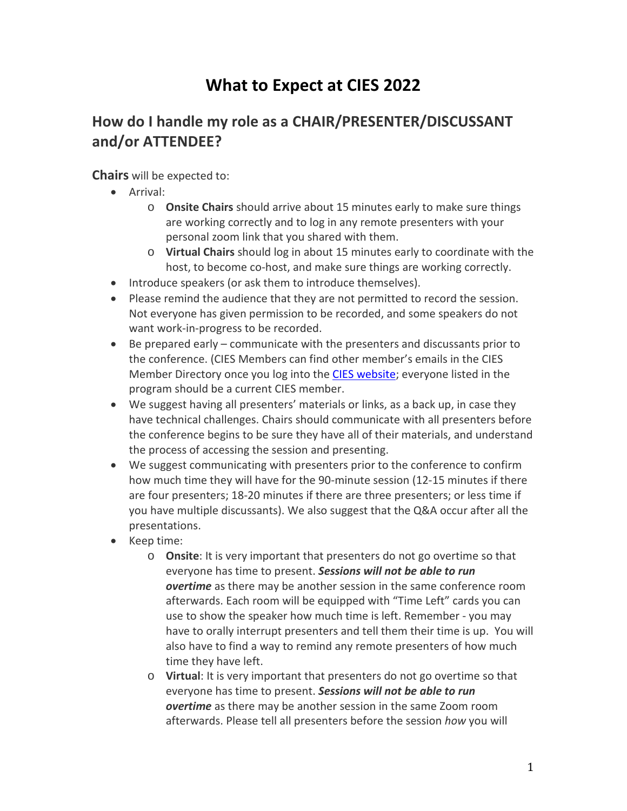## **What to Expect at CIES 2022**

## **How do I handle my role as a CHAIR/PRESENTER/DISCUSSANT and/or ATTENDEE?**

## **Chairs** will be expected to:

- Arrival:
	- o **Onsite Chairs** should arrive about 15 minutes early to make sure things are working correctly and to log in any remote presenters with your personal zoom link that you shared with them.
	- o **Virtual Chairs** should log in about 15 minutes early to coordinate with the host, to become co-host, and make sure things are working correctly.
- Introduce speakers (or ask them to introduce themselves).
- Please remind the audience that they are not permitted to record the session. Not everyone has given permission to be recorded, and some speakers do not want work-in-progress to be recorded.
- Be prepared early communicate with the presenters and discussants prior to the conference. (CIES Members can find other member's emails in the CIES Member Directory once you log into the [CIES website;](https://www.cies.us/) everyone listed in the program should be a current CIES member.
- We suggest having all presenters' materials or links, as a back up, in case they have technical challenges. Chairs should communicate with all presenters before the conference begins to be sure they have all of their materials, and understand the process of accessing the session and presenting.
- We suggest communicating with presenters prior to the conference to confirm how much time they will have for the 90-minute session (12-15 minutes if there are four presenters; 18-20 minutes if there are three presenters; or less time if you have multiple discussants). We also suggest that the Q&A occur after all the presentations.
- Keep time:
	- o **Onsite**: It is very important that presenters do not go overtime so that everyone has time to present. *Sessions will not be able to run overtime* as there may be another session in the same conference room afterwards. Each room will be equipped with "Time Left" cards you can use to show the speaker how much time is left. Remember - you may have to orally interrupt presenters and tell them their time is up. You will also have to find a way to remind any remote presenters of how much time they have left.
	- o **Virtual**: It is very important that presenters do not go overtime so that everyone has time to present. *Sessions will not be able to run overtime* as there may be another session in the same Zoom room afterwards. Please tell all presenters before the session *how* you will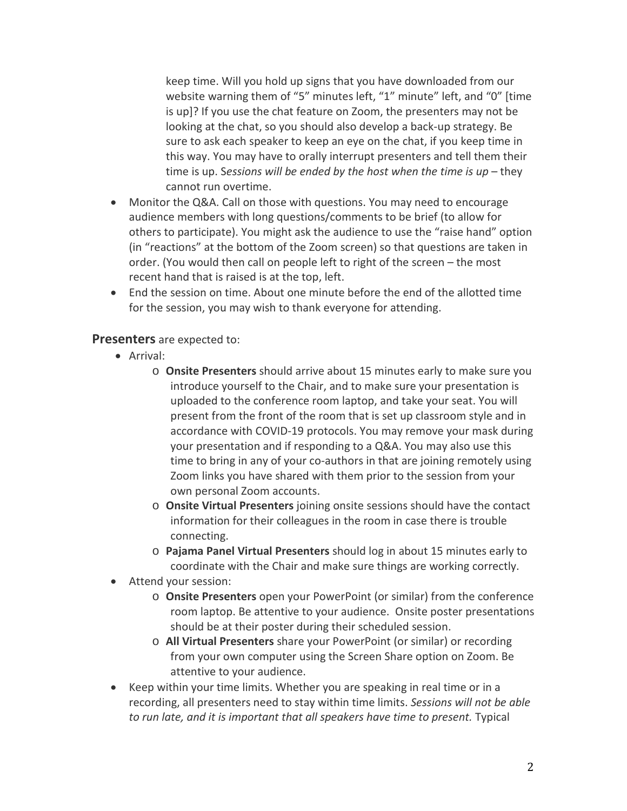keep time. Will you hold up signs that you have downloaded from our website warning them of "5" minutes left, "1" minute" left, and "0" [time is up]? If you use the chat feature on Zoom, the presenters may not be looking at the chat, so you should also develop a back-up strategy. Be sure to ask each speaker to keep an eye on the chat, if you keep time in this way. You may have to orally interrupt presenters and tell them their time is up. S*essions will be ended by the host when the time is up* – they cannot run overtime.

- Monitor the Q&A. Call on those with questions. You may need to encourage audience members with long questions/comments to be brief (to allow for others to participate). You might ask the audience to use the "raise hand" option (in "reactions" at the bottom of the Zoom screen) so that questions are taken in order. (You would then call on people left to right of the screen – the most recent hand that is raised is at the top, left.
- End the session on time. About one minute before the end of the allotted time for the session, you may wish to thank everyone for attending.

## **Presenters** are expected to:

- Arrival:
	- o **Onsite Presenters** should arrive about 15 minutes early to make sure you introduce yourself to the Chair, and to make sure your presentation is uploaded to the conference room laptop, and take your seat. You will present from the front of the room that is set up classroom style and in accordance with COVID-19 protocols. You may remove your mask during your presentation and if responding to a Q&A. You may also use this time to bring in any of your co-authors in that are joining remotely using Zoom links you have shared with them prior to the session from your own personal Zoom accounts.
	- o **Onsite Virtual Presenters** joining onsite sessions should have the contact information for their colleagues in the room in case there is trouble connecting.
	- o **Pajama Panel Virtual Presenters** should log in about 15 minutes early to coordinate with the Chair and make sure things are working correctly.
- Attend your session:
	- o **Onsite Presenters** open your PowerPoint (or similar) from the conference room laptop. Be attentive to your audience. Onsite poster presentations should be at their poster during their scheduled session.
	- o **All Virtual Presenters** share your PowerPoint (or similar) or recording from your own computer using the Screen Share option on Zoom. Be attentive to your audience.
- Keep within your time limits. Whether you are speaking in real time or in a recording, all presenters need to stay within time limits. *Sessions will not be able to run late, and it is important that all speakers have time to present.* Typical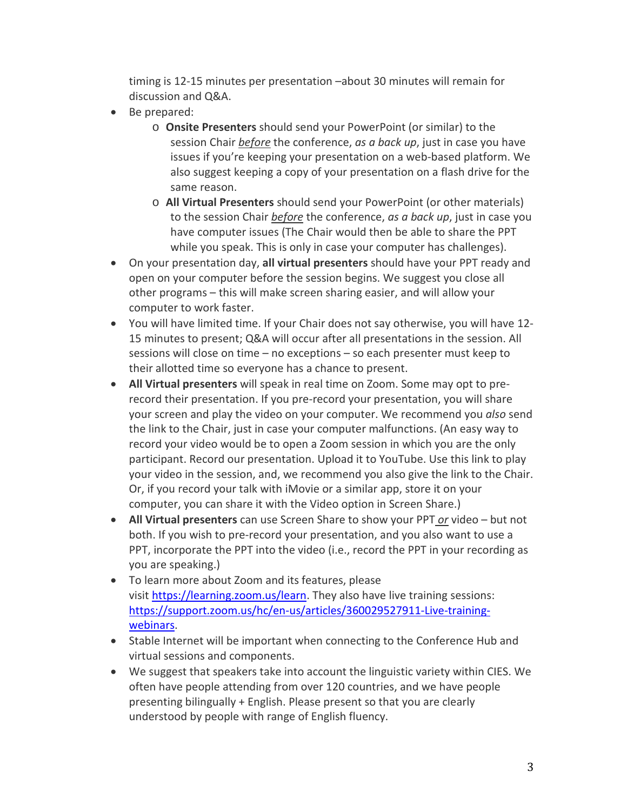timing is 12-15 minutes per presentation –about 30 minutes will remain for discussion and Q&A.

- Be prepared:
	- o **Onsite Presenters** should send your PowerPoint (or similar) to the session Chair *before* the conference, *as a back up*, just in case you have issues if you're keeping your presentation on a web-based platform. We also suggest keeping a copy of your presentation on a flash drive for the same reason.
	- o **All Virtual Presenters** should send your PowerPoint (or other materials) to the session Chair *before* the conference, *as a back up*, just in case you have computer issues (The Chair would then be able to share the PPT while you speak. This is only in case your computer has challenges).
- On your presentation day, **all virtual presenters** should have your PPT ready and open on your computer before the session begins. We suggest you close all other programs – this will make screen sharing easier, and will allow your computer to work faster.
- You will have limited time. If your Chair does not say otherwise, you will have 12- 15 minutes to present; Q&A will occur after all presentations in the session. All sessions will close on time – no exceptions – so each presenter must keep to their allotted time so everyone has a chance to present.
- **All Virtual presenters** will speak in real time on Zoom. Some may opt to prerecord their presentation. If you pre-record your presentation, you will share your screen and play the video on your computer. We recommend you *also* send the link to the Chair, just in case your computer malfunctions. (An easy way to record your video would be to open a Zoom session in which you are the only participant. Record our presentation. Upload it to YouTube. Use this link to play your video in the session, and, we recommend you also give the link to the Chair. Or, if you record your talk with iMovie or a similar app, store it on your computer, you can share it with the Video option in Screen Share.)
- **All Virtual presenters** can use Screen Share to show your PPT *or* video but not both. If you wish to pre-record your presentation, and you also want to use a PPT, incorporate the PPT into the video (i.e., record the PPT in your recording as you are speaking.)
- To learn more about Zoom and its features, please visit [https://learning.zoom.us/learn.](https://learning.zoom.us/learn) They also have live training sessions: [https://support.zoom.us/hc/en-us/articles/360029527911-Live-training](https://support.zoom.us/hc/en-us/articles/360029527911-Live-training-webinars)[webinars.](https://support.zoom.us/hc/en-us/articles/360029527911-Live-training-webinars)
- Stable Internet will be important when connecting to the Conference Hub and virtual sessions and components.
- We suggest that speakers take into account the linguistic variety within CIES. We often have people attending from over 120 countries, and we have people presenting bilingually + English. Please present so that you are clearly understood by people with range of English fluency.